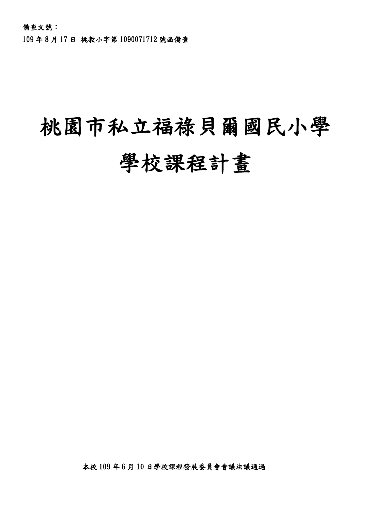109 年 8 月 17 日 桃教小字第 1090071712 號函備查

# 桃園市私立福祿貝爾國民小學 學校課程計畫

本校 109 年 6 月 10 日學校課程發展委員會會議決議通過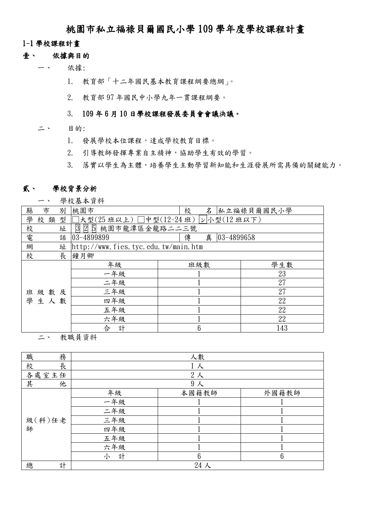### 桃園市私立福祿貝爾國民小學 109 學年度學校課程計畫

### 1-1 學校課程計畫

#### 壹、 依據與目的

- 一、 依據:
	- 1. 教育部「十二年國民基本教育課程綱要總綱」。
	- 2. 教育部 97 年國民中小學九年一貫課程綱要。

### 3. 109 年 6 月 10 日學校課程發展委員會會議決議。

- 二、 目的:
	- 1. 發展學校本位課程,達成學校教育目標。
	- 2. 引導教師發揮專業自主精神,協助學生有效的學習。
	- 3. 落實以學生為主體,培養學生主動學習新知能和生涯發展所需具備的關鍵能力。

### 貳、 學校背景分析

一、 學校基本資料

| 縣<br>市<br>別      | 桃園市                                   | 校<br>名                    | 私立福祿貝爾國民小學 |  |  |  |  |  |  |  |
|------------------|---------------------------------------|---------------------------|------------|--|--|--|--|--|--|--|
| 學<br>類<br>校<br>型 | 大型(25 班以上) □中型(12~24 班)  ν 小型(12 班以下) |                           |            |  |  |  |  |  |  |  |
| 校<br>址           | 2 5<br>桃園市龍潭區金龍路二二三號<br>3             |                           |            |  |  |  |  |  |  |  |
| 電<br>話           | 03-4899899                            | 真<br>傳<br>$ 03 - 4899658$ |            |  |  |  |  |  |  |  |
| 網<br>址           | http://www.fies.tyc.edu.tw/main.htm   |                           |            |  |  |  |  |  |  |  |
| 校<br>長           | 鐘月卿                                   |                           |            |  |  |  |  |  |  |  |
|                  | 年級                                    | 班級數                       | 學生數        |  |  |  |  |  |  |  |
|                  | 一年級                                   |                           | 23         |  |  |  |  |  |  |  |
|                  | 二年級                                   |                           | 27         |  |  |  |  |  |  |  |
| 班級數及             | 三年級                                   |                           | 27         |  |  |  |  |  |  |  |
| 學生人數             | 四年級                                   |                           | 22         |  |  |  |  |  |  |  |
|                  | 五年級                                   |                           | 22         |  |  |  |  |  |  |  |
|                  | 六年級                                   |                           | 22         |  |  |  |  |  |  |  |
|                  | 計<br>合                                | 6                         | 143        |  |  |  |  |  |  |  |

二、 教職員資料

| 務<br>職 | 人數             |       |                 |  |  |  |  |  |  |  |  |  |
|--------|----------------|-------|-----------------|--|--|--|--|--|--|--|--|--|
| 長<br>校 | 1人             |       |                 |  |  |  |  |  |  |  |  |  |
| 各處室主任  | $2\lambda$     |       |                 |  |  |  |  |  |  |  |  |  |
| 其<br>他 | 9 <sub>x</sub> |       |                 |  |  |  |  |  |  |  |  |  |
|        | 年級             | 本國籍教師 | 外國籍教師           |  |  |  |  |  |  |  |  |  |
|        | 一年級            |       |                 |  |  |  |  |  |  |  |  |  |
| 級(科)任老 | 二年級            |       |                 |  |  |  |  |  |  |  |  |  |
|        | 三年級            |       |                 |  |  |  |  |  |  |  |  |  |
| 師      | 四年級            |       |                 |  |  |  |  |  |  |  |  |  |
|        | 五年級            |       |                 |  |  |  |  |  |  |  |  |  |
|        | 六年級            |       |                 |  |  |  |  |  |  |  |  |  |
|        | 計<br>小         | 6     | $6\phantom{1}6$ |  |  |  |  |  |  |  |  |  |
| 計<br>總 |                | 24人   |                 |  |  |  |  |  |  |  |  |  |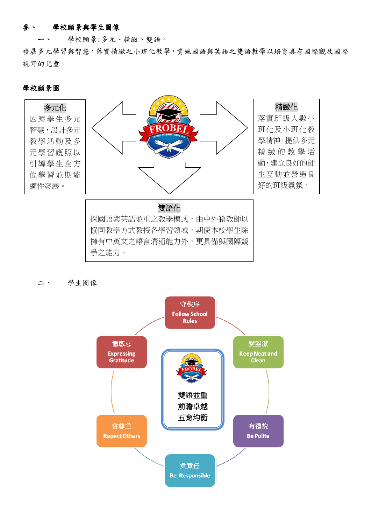### 參、 學校願景與學生圖像

學校願景:多元、精緻、雙語。

發展多元學習與智慧,落實精緻之小班化教學,實施國語與英語之雙語教學以培育具有國際觀及國際 視野的兒童。

### 學校願景圖



二、 學生圖像

爭之能力。

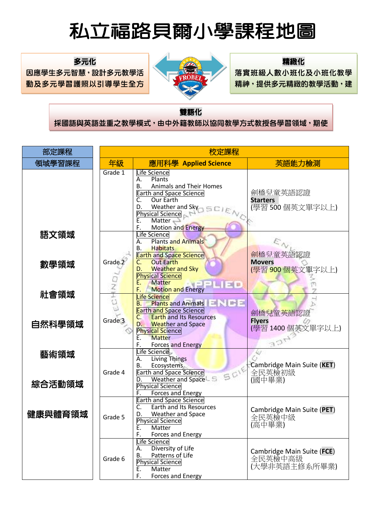# 私立福路貝爾小學課程地圖

多元化 因應學生多元智慧,設計多元教學活 動及多元學習護照以引導學生全方

位學習並期能適性發展。



### 精緻化

落實班級人數小班化及小班化教學 精神,提供多元精緻的教學活動,建

立良好的師生互動並營造良好的班

### 雙語化

採國語與英語並重之教學模式,由中外籍教師以協同教學方式教授各學習領域,期使

本校學生除擁有中英文之語言溝通能力外,更具備與國際競爭之能力。

| 部定課程    |                    | 校定課程                                                                                                                                                                                                                                             |                                                        |
|---------|--------------------|--------------------------------------------------------------------------------------------------------------------------------------------------------------------------------------------------------------------------------------------------|--------------------------------------------------------|
| 領域學習課程  | 年級                 | 應用科學 Applied Science                                                                                                                                                                                                                             | 英語能力檢測                                                 |
|         | Grade 1            | Life Science<br>Plants<br>А.<br>Animals and Their Homes<br>В.<br><b>Earth and Space Science</b><br><b>Our Earth</b><br>C.<br>Weather and Sky <sub>7</sub> SCI<br>D.<br><b>Physical Science</b><br>Matter<br>Ε.<br><b>Motion and Energy</b><br>F. | 劍橋兒童英語認證<br><b>Starters</b><br>(學習 500個英文單字以上)         |
| 語文領域    |                    | Life Science<br><b>Plants and Animals</b><br>А.<br><b>Habitats</b><br>В.<br><b>Earth and Space Science</b>                                                                                                                                       | 劍橋兒童英語認證                                               |
| 數學領域    | Grade 2            | <b>Out Earth</b><br>$\mathsf{C}$ .<br><b>Weather and Sky</b><br>D.<br><b>Physical Science</b><br>Ε.<br><b>Matter</b><br><b>Motion and Energy</b><br>F.                                                                                           | <b>Movers</b><br>(學習 900個英文單字以上)                       |
| 社會領域    | $\frac{1}{\Omega}$ | <b>Life Science</b><br><b>Plants and Animals</b><br>대근 터디<br>В.<br><b>Earth and Space Science</b><br><b>Earth and Its Resources</b><br>C.                                                                                                        | 劍橋兒童英語認證                                               |
| 自然科學領域  | Grade <sub>3</sub> | <b>Weather and Space</b><br>D.<br><b>Physical Science</b><br><b>Matter</b><br>Ε.<br>F.<br><b>Forces and Energy</b>                                                                                                                               | <b>Flyers</b><br>(學習1400個英文單字以上)                       |
| 藝術領域    | Grade 4            | Life Science<br><b>Living Things</b><br>А.<br>Ecosystems<br>В.<br>SCIE<br><b>Earth and Space Science</b>                                                                                                                                         | Cambridge Main Suite (KET)<br>全民英檢初級                   |
| 綜合活動領域  |                    | Weather and Space<br>D.<br><b>Physical Science</b><br>Forces and Energy<br>F.<br><b>Earth and Space Science</b>                                                                                                                                  | (國中畢業)                                                 |
| 健康與體育領域 | Grade 5            | Earth and Its Resources<br>C.<br>Weather and Space<br>D.<br><b>Physical Science</b><br>Ε.<br>Matter<br>F.<br>Forces and Energy                                                                                                                   | Cambridge Main Suite (PET)<br>全民英檢中級<br>(高中畢業)         |
|         | Grade 6            | Life Science<br>Diversity of Life<br>А.<br>Patterns of Life<br>В.<br><b>Physical Science</b><br>Matter<br>Ε.<br>F.<br>Forces and Energy                                                                                                          | Cambridge Main Suite (FCE)<br>全民英檢中高級<br>(大學非英語主修系所畢業) |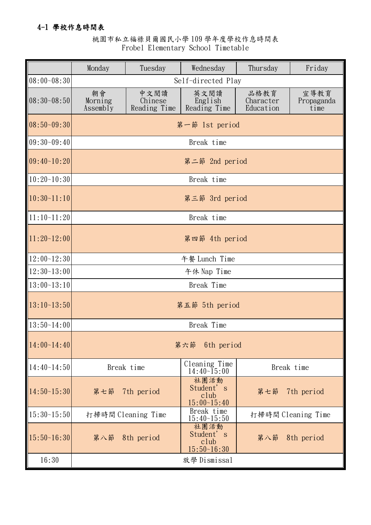### 4-1 學校作息時間表

### 桃園市私立福祿貝爾國民小學 109 學年度學校作息時間表 Frobel Elementary School Timetable

|                 | Monday                    | Tuesday                         | Wednesday                                          | Friday                         |                            |  |  |  |  |  |  |  |  |
|-----------------|---------------------------|---------------------------------|----------------------------------------------------|--------------------------------|----------------------------|--|--|--|--|--|--|--|--|
| $08:00 - 08:30$ |                           |                                 | Self-directed Play                                 |                                |                            |  |  |  |  |  |  |  |  |
| $08:30-08:50$   | 朝會<br>Morning<br>Assembly | 中文閱讀<br>Chinese<br>Reading Time | 英文閱讀<br>English<br>Reading Time                    | 品格教育<br>Character<br>Education | 宣導教育<br>Propaganda<br>time |  |  |  |  |  |  |  |  |
| $ 08:50-09:30$  | 第一節 1st period            |                                 |                                                    |                                |                            |  |  |  |  |  |  |  |  |
| $109:30-09:40$  |                           | Break time                      |                                                    |                                |                            |  |  |  |  |  |  |  |  |
| $ 09:40-10:20$  |                           | 第二節 2nd period                  |                                                    |                                |                            |  |  |  |  |  |  |  |  |
| $10:20-10:30$   |                           |                                 | Break time                                         |                                |                            |  |  |  |  |  |  |  |  |
| 10:30~11:10     |                           |                                 | 第三節 3rd period                                     |                                |                            |  |  |  |  |  |  |  |  |
| $11:10-11:20$   |                           |                                 | Break time                                         |                                |                            |  |  |  |  |  |  |  |  |
| $11:20-12:00$   |                           | 第四節 4th period                  |                                                    |                                |                            |  |  |  |  |  |  |  |  |
| $12:00-12:30$   |                           |                                 | 午餐 Lunch Time                                      |                                |                            |  |  |  |  |  |  |  |  |
| $12:30-13:00$   |                           |                                 | 午休 Nap Time                                        |                                |                            |  |  |  |  |  |  |  |  |
| $13:00-13:10$   |                           |                                 | Break Time                                         |                                |                            |  |  |  |  |  |  |  |  |
| $13:10-13:50$   |                           |                                 | 第五節 5th period                                     |                                |                            |  |  |  |  |  |  |  |  |
| $13:50-14:00$   |                           |                                 | Break Time                                         |                                |                            |  |  |  |  |  |  |  |  |
| 14:00~14:40     |                           |                                 | 第六節 6th period                                     |                                |                            |  |  |  |  |  |  |  |  |
| $14:40-14:50$   |                           | Break time                      | Cleaning Time<br>$14:40\,\text{-}\overline{1}5:00$ |                                | Break time                 |  |  |  |  |  |  |  |  |
| 14:50~15:30     | 第七節                       | 7th period                      | 社團活動<br>Student's<br>club<br>$15:00-15:40$         | 第七節                            | 7th period                 |  |  |  |  |  |  |  |  |
| $15:30-15:50$   |                           | 打掃時間 Cleaning Time              | Break time<br>$15:40-15:50$                        |                                | 打掃時間 Cleaning Time         |  |  |  |  |  |  |  |  |
| $15:50-16:30$   |                           | 第八節 8th period                  | 社團活動<br>Student's<br>club<br>$15:50-16:30$         |                                | 第八節 8th period             |  |  |  |  |  |  |  |  |
| 16:30           |                           |                                 | 放學 Dismissal                                       |                                |                            |  |  |  |  |  |  |  |  |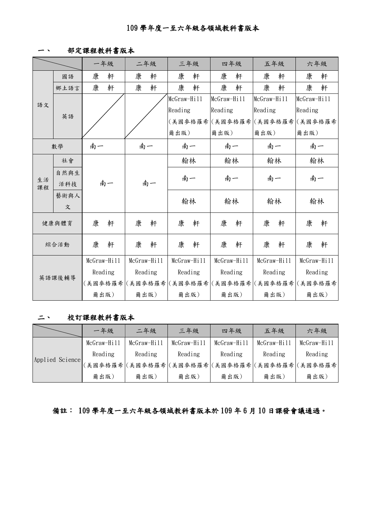一、 部定課程教科書版本

|          |       |             | 一年級 |         | 二年級                                             |             | 三年級      |             | 四年級  |             | 五年級                             |             | 六年級     |  |
|----------|-------|-------------|-----|---------|-------------------------------------------------|-------------|----------|-------------|------|-------------|---------------------------------|-------------|---------|--|
|          | 國語    | 康           | 軒   | 康       | 軒                                               | 康           | 軒        | 康           | 軒    | 康           | 軒                               | 康           | 軒       |  |
|          | 鄉土語言  | 康           | 軒   | 康       | 軒                                               | 康           | 軒        | 康           | 軒    | 康           | 軒                               | 康           | 軒       |  |
| 語文       |       |             |     |         |                                                 | McGraw-Hill |          | McGraw-Hill |      | McGraw-Hill |                                 | McGraw-Hill |         |  |
|          |       |             |     |         |                                                 | Reading     |          | Reading     |      | Reading     |                                 | Reading     |         |  |
|          | 英語    |             |     |         |                                                 |             |          |             |      |             | (美國麥格羅希 (美國麥格羅希 (美國麥格羅希 (美國麥格羅希 |             |         |  |
|          |       |             |     |         |                                                 | 爾出版)        |          | 爾出版)        |      | 爾出版)        |                                 | 爾出版)        |         |  |
|          | 數學    | 南一          |     |         | 南一                                              |             | 南一       |             | 南一   | 南一          |                                 |             | 南一      |  |
|          | 社會    |             |     |         |                                                 |             | 翰林       | 翰林          |      | 翰林          |                                 | 翰林          |         |  |
|          | 自然與生  |             |     |         | 南一                                              |             |          |             |      |             |                                 |             |         |  |
| 生活<br>課程 | 活科技   |             | 南一  |         |                                                 |             | 南一<br>南一 |             | 南一   |             | 南一                              |             |         |  |
|          | 藝術與人  |             |     |         |                                                 |             |          |             | 翰林   |             |                                 |             |         |  |
|          | 文     |             |     |         |                                                 | 翰林          |          |             |      | 翰林          |                                 | 翰林          |         |  |
|          | 健康與體育 | 康           | 軒   | 康       | 軒                                               | 康           | 軒        | 康           | 軒    | 康           | 軒                               | 康           | 軒       |  |
|          | 綜合活動  | 康           | 軒   | 康       | 軒                                               | 康           | 軒        | 康           | 軒    | 康           | 軒                               | 康           | 軒       |  |
| 英語課後輔導   |       | McGraw-Hill |     |         | McGraw-Hill                                     | McGraw-Hill |          | McGraw-Hill |      |             | McGraw-Hill                     | McGraw-Hill |         |  |
|          |       | Reading     |     | Reading |                                                 | Reading     |          | Reading     |      | Reading     |                                 |             | Reading |  |
|          |       |             |     |         | (美國參格羅希 (美國參格羅希 (美國參格羅希 (美國參格羅希 (美國參格羅希 (美國參格羅希 |             |          |             |      |             |                                 |             |         |  |
|          |       | 爾出版)        |     |         | 爾出版)                                            |             | 爾出版)     |             | 爾出版) | 爾出版)        |                                 |             | 爾出版)    |  |

### 二、 校訂課程教科書版本

|                 | 一年級         | 二年級         | 三年級         | 四年級                                             | 五年級         | 六年級         |
|-----------------|-------------|-------------|-------------|-------------------------------------------------|-------------|-------------|
|                 | McGraw-Hill | McGraw-Hill | McGraw-Hill | $McGraw-Hi11$                                   | McGraw-Hill | McGraw-Hill |
| Applied Science | Reading     | Reading     | Reading     | Reading                                         | Reading     | Reading     |
|                 |             |             |             | (美國參格羅希 (美國參格羅希 (美國參格羅希 (美國參格羅希 (美國參格羅希 (美國參格羅希 |             |             |
|                 | 爾出版)        | 爾出版)        | 爾出版)        | 爾出版)                                            | 爾出版)        | 爾出版)        |

備註: 109 學年度一至六年級各領域教科書版本於 109 年 6 月 10 日課發會議通過。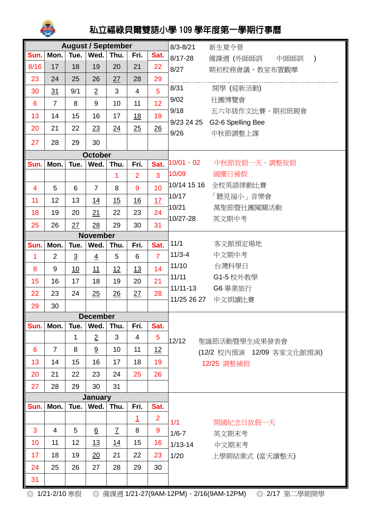

## 私立福祿貝爾雙語小學 109 學年度第一學期行事曆

| <b>August / September</b> |                  |                |                 |                |                  |                | $8/3 - 8/21$                         | 新生夏令營                                   |
|---------------------------|------------------|----------------|-----------------|----------------|------------------|----------------|--------------------------------------|-----------------------------------------|
| Sun.                      | Mon.             | Tue.           | Wed.            | Thu.           | Fri.             | Sat.           | $8/17 - 28$                          | 備課週 (外師師訓 中師師訓<br>$\rightarrow$         |
| 8/16                      | 17               | 18             | 19              | 20             | 21               | 22             | 8/27                                 | 期初校務會議、教室布置觀摩                           |
| 23                        | 24               | 25             | 26              | 27             | 28               | 29             |                                      |                                         |
| 30                        | 31               | 9/1            | $\overline{2}$  | 3              | $\overline{4}$   | 5              | 8/31                                 | 開學 (迎新活動)                               |
| 6                         | $\overline{7}$   | 8              | 9               | 10             | 11               | 12             | 9/02                                 | 社團博覽會                                   |
| 13                        | 14               | 15             | 16              | 17             | <u>18</u>        | 19             | 9/18                                 | 五六年級作文比賽、期初班親會                          |
| 20                        | 21               | 22             | 23              | 24             | 25               | 26             | 9/26                                 | 9/23 24 25 G2-6 Spelling Bee<br>中秋節調整上課 |
| 27                        | 28               | 29             | 30              |                |                  |                |                                      |                                         |
|                           |                  |                | <b>October</b>  |                |                  |                |                                      |                                         |
| Sun.                      | Mon.             | Tue.           | Wed.            | Thu.           | Fri.             | Sat.           | $10/01 \cdot 02$                     | 中秋節放假一天、調整放假                            |
|                           |                  |                |                 | 1              | $\overline{2}$   | $\overline{3}$ | 10/09                                | 國慶日補假                                   |
| 4                         | 5                | 6              | $\overline{7}$  | 8              | 9                | 10             | 10/14 15 16                          | 全校英語律動比賽                                |
| 11                        | 12               | 13             | 14              | 15             | $\underline{16}$ | 17             | 10/17                                | 「聽見福小」音樂會                               |
| 18                        | 19               | 20             | 21              | 22             | 23               | 24             | 10/21                                | 萬聖節暨社團闖關活動                              |
| 25                        | 26               | 27             | 28              | 29             | 30               | 31             | 10/27-28                             | 英文期中考                                   |
|                           |                  |                | <b>November</b> |                |                  |                |                                      |                                         |
| Sun.                      | Mon.             | Tue.           | Wed.            | Thu.           | Fri.             | Sat.           | 11/1                                 | 客文館預定場地                                 |
| $\overline{1}$            | $\overline{2}$   | $\overline{3}$ | $\overline{4}$  | 5              | 6                | $\overline{7}$ | $11/3 - 4$                           | 中文期中考                                   |
| 8                         | $\boldsymbol{9}$ | 10             | 11              | 12             | 13               | 14             | 11/10                                | 台灣科學日                                   |
| 15                        | 16               | 17             | 18              | 19             | 20               | 21             | 11/11                                | G1-5 校外教學                               |
| 22                        | 23               | 24             | 25              | 26             | 27               | 28             | $11/11-13$                           | G6 畢業旅行                                 |
| 29                        | 30               |                |                 |                |                  |                | 11/25 26 27                          | 中文朗讀比賽                                  |
|                           |                  |                | <b>December</b> |                |                  |                |                                      |                                         |
| Sun.                      | Mon.             | Tue.           | Wed.            | Thu.           | Fri.             | Sat.           |                                      |                                         |
|                           |                  | 1              | $\overline{2}$  | 3              | 4                | 5              | 12/12                                | 聖誕節活動暨學生成果發表會                           |
| 6                         | $\overline{7}$   | 8              | 9               | 10             | 11               | 12             |                                      | (12/2 校內預演 12/09 客家文化館預演)               |
| 13                        | 14               | 15             | 16              | 17             | 18               | 19             |                                      | 12/25 調整補假                              |
| 20                        | 21               | 22             | 23              | 24             | 25               | 26             |                                      |                                         |
| 27                        | 28               | 29             | 30              | 31             |                  |                |                                      |                                         |
| January                   |                  |                |                 |                |                  |                |                                      |                                         |
| Sun.                      | Mon.             | Tue.           | Wed.            | Thu.           | Fri.             | Sat.           |                                      |                                         |
|                           |                  |                |                 |                | $\overline{1}$   | $\overline{2}$ | 1/1                                  | 開國紀念日放假一天                               |
| 3                         | 4                | 5              | $6\overline{6}$ | $\overline{I}$ | 8                | 9              | $1/6 - 7$                            | 英文期末考                                   |
| 10                        | 11               | 12             | 13              | <u>14</u>      | 15               | 16             | $1/13 - 14$                          | 中文期末考                                   |
| 17                        | 18               | 19             | 20              | 21             | 22               | 23             | 1/20                                 | 上學期結業式 (當天讀整天)                          |
| 24                        | 25               | 26             | 27              | 28             | 29               | 30             |                                      |                                         |
| 31                        |                  |                |                 |                |                  |                |                                      |                                         |
| ◎ 1/21-2/10 寒假            |                  |                | $\circledcirc$  |                |                  |                | 備課週 1/21-27(9AM-12PM)、2/16(9AM-12PM) | ◎ 2/17 第二學期開學                           |